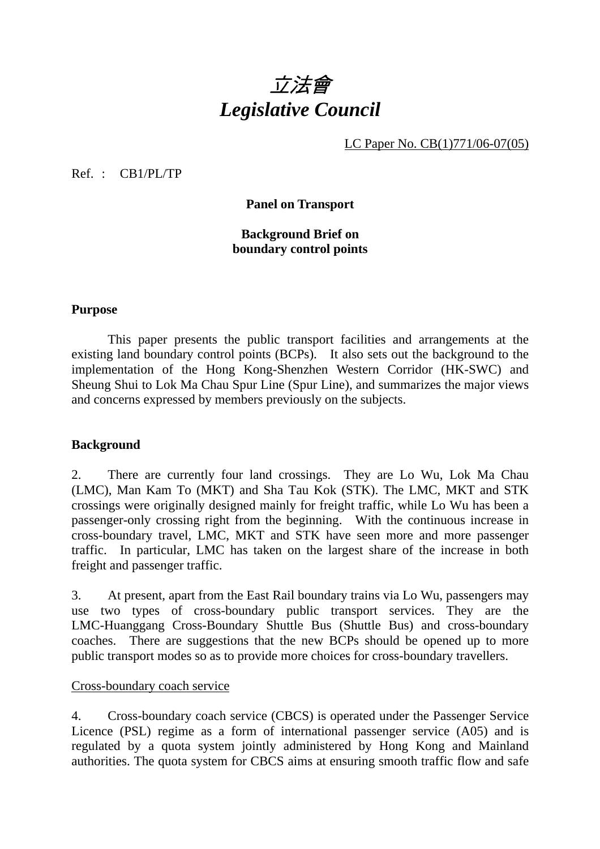

LC Paper No. CB(1)771/06-07(05)

Ref. : CB1/PL/TP

**Panel on Transport** 

**Background Brief on boundary control points** 

#### **Purpose**

1 This paper presents the public transport facilities and arrangements at the existing land boundary control points (BCPs). It also sets out the background to the implementation of the Hong Kong-Shenzhen Western Corridor (HK-SWC) and Sheung Shui to Lok Ma Chau Spur Line (Spur Line), and summarizes the major views and concerns expressed by members previously on the subjects.

### **Background**

2. There are currently four land crossings. They are Lo Wu, Lok Ma Chau (LMC), Man Kam To (MKT) and Sha Tau Kok (STK). The LMC, MKT and STK crossings were originally designed mainly for freight traffic, while Lo Wu has been a passenger-only crossing right from the beginning. With the continuous increase in cross-boundary travel, LMC, MKT and STK have seen more and more passenger traffic. In particular, LMC has taken on the largest share of the increase in both freight and passenger traffic.

3. At present, apart from the East Rail boundary trains via Lo Wu, passengers may use two types of cross-boundary public transport services. They are the LMC-Huanggang Cross-Boundary Shuttle Bus (Shuttle Bus) and cross-boundary coaches. There are suggestions that the new BCPs should be opened up to more public transport modes so as to provide more choices for cross-boundary travellers.

### Cross-boundary coach service

4. Cross-boundary coach service (CBCS) is operated under the Passenger Service Licence (PSL) regime as a form of international passenger service (A05) and is regulated by a quota system jointly administered by Hong Kong and Mainland authorities. The quota system for CBCS aims at ensuring smooth traffic flow and safe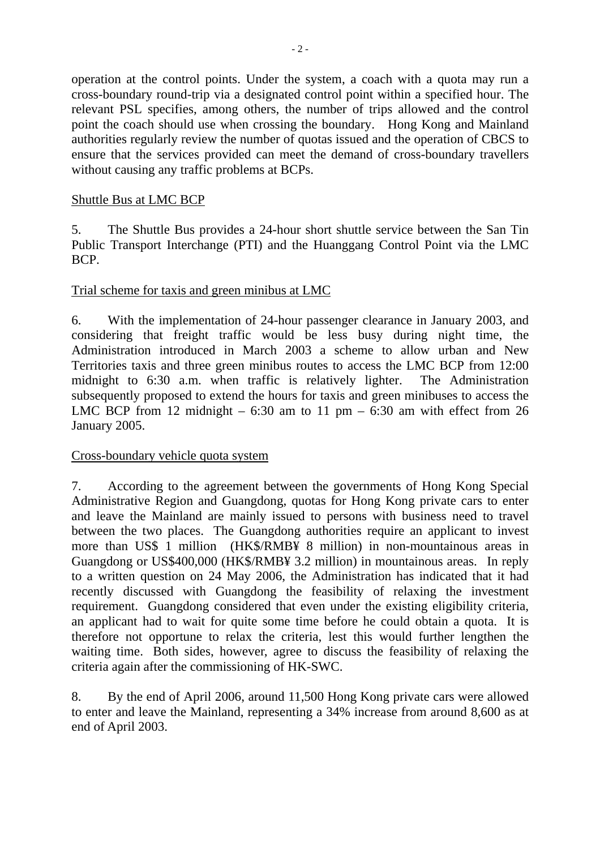operation at the control points. Under the system, a coach with a quota may run a cross-boundary round-trip via a designated control point within a specified hour. The relevant PSL specifies, among others, the number of trips allowed and the control point the coach should use when crossing the boundary. Hong Kong and Mainland authorities regularly review the number of quotas issued and the operation of CBCS to ensure that the services provided can meet the demand of cross-boundary travellers without causing any traffic problems at BCPs.

## Shuttle Bus at LMC BCP

5. The Shuttle Bus provides a 24-hour short shuttle service between the San Tin Public Transport Interchange (PTI) and the Huanggang Control Point via the LMC BCP.

### Trial scheme for taxis and green minibus at LMC

6. With the implementation of 24-hour passenger clearance in January 2003, and considering that freight traffic would be less busy during night time, the Administration introduced in March 2003 a scheme to allow urban and New Territories taxis and three green minibus routes to access the LMC BCP from 12:00 midnight to 6:30 a.m. when traffic is relatively lighter. The Administration subsequently proposed to extend the hours for taxis and green minibuses to access the LMC BCP from 12 midnight  $-6:30$  am to 11 pm  $-6:30$  am with effect from 26 January 2005.

### Cross-boundary vehicle quota system

7. According to the agreement between the governments of Hong Kong Special Administrative Region and Guangdong, quotas for Hong Kong private cars to enter and leave the Mainland are mainly issued to persons with business need to travel between the two places. The Guangdong authorities require an applicant to invest more than US\$ 1 million (HK\$/RMB¥ 8 million) in non-mountainous areas in Guangdong or US\$400,000 (HK\$/RMB¥ 3.2 million) in mountainous areas. In reply to a written question on 24 May 2006, the Administration has indicated that it had recently discussed with Guangdong the feasibility of relaxing the investment requirement. Guangdong considered that even under the existing eligibility criteria, an applicant had to wait for quite some time before he could obtain a quota. It is therefore not opportune to relax the criteria, lest this would further lengthen the waiting time. Both sides, however, agree to discuss the feasibility of relaxing the criteria again after the commissioning of HK-SWC.

8. By the end of April 2006, around 11,500 Hong Kong private cars were allowed to enter and leave the Mainland, representing a 34% increase from around 8,600 as at end of April 2003.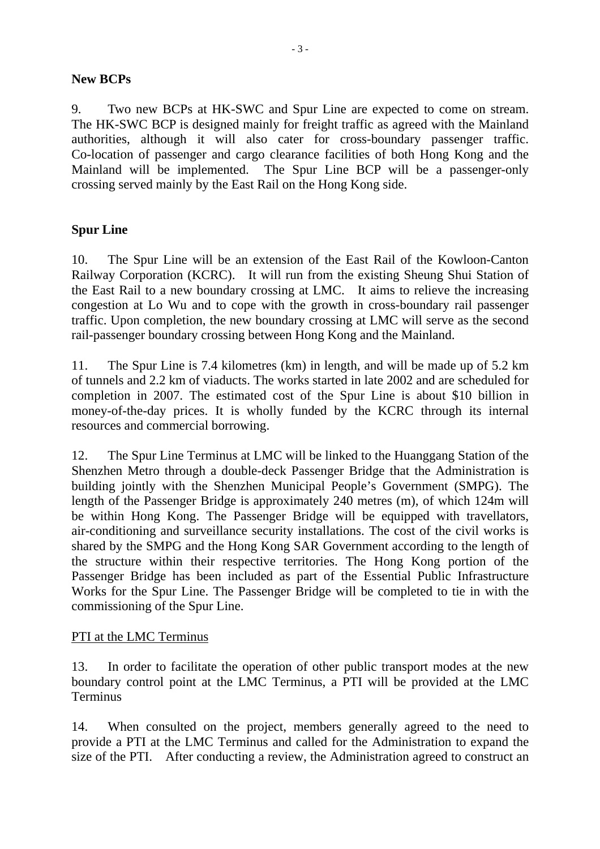## **New BCPs**

9. Two new BCPs at HK-SWC and Spur Line are expected to come on stream. The HK-SWC BCP is designed mainly for freight traffic as agreed with the Mainland authorities, although it will also cater for cross-boundary passenger traffic. Co-location of passenger and cargo clearance facilities of both Hong Kong and the Mainland will be implemented. The Spur Line BCP will be a passenger-only crossing served mainly by the East Rail on the Hong Kong side.

# **Spur Line**

10. The Spur Line will be an extension of the East Rail of the Kowloon-Canton Railway Corporation (KCRC). It will run from the existing Sheung Shui Station of the East Rail to a new boundary crossing at LMC. It aims to relieve the increasing congestion at Lo Wu and to cope with the growth in cross-boundary rail passenger traffic. Upon completion, the new boundary crossing at LMC will serve as the second rail-passenger boundary crossing between Hong Kong and the Mainland.

11. The Spur Line is 7.4 kilometres (km) in length, and will be made up of 5.2 km of tunnels and 2.2 km of viaducts. The works started in late 2002 and are scheduled for completion in 2007. The estimated cost of the Spur Line is about \$10 billion in money-of-the-day prices. It is wholly funded by the KCRC through its internal resources and commercial borrowing.

12. The Spur Line Terminus at LMC will be linked to the Huanggang Station of the Shenzhen Metro through a double-deck Passenger Bridge that the Administration is building jointly with the Shenzhen Municipal People's Government (SMPG). The length of the Passenger Bridge is approximately 240 metres (m), of which 124m will be within Hong Kong. The Passenger Bridge will be equipped with travellators, air-conditioning and surveillance security installations. The cost of the civil works is shared by the SMPG and the Hong Kong SAR Government according to the length of the structure within their respective territories. The Hong Kong portion of the Passenger Bridge has been included as part of the Essential Public Infrastructure Works for the Spur Line. The Passenger Bridge will be completed to tie in with the commissioning of the Spur Line.

# PTI at the LMC Terminus

13. In order to facilitate the operation of other public transport modes at the new boundary control point at the LMC Terminus, a PTI will be provided at the LMC **Terminus** 

14. When consulted on the project, members generally agreed to the need to provide a PTI at the LMC Terminus and called for the Administration to expand the size of the PTI. After conducting a review, the Administration agreed to construct an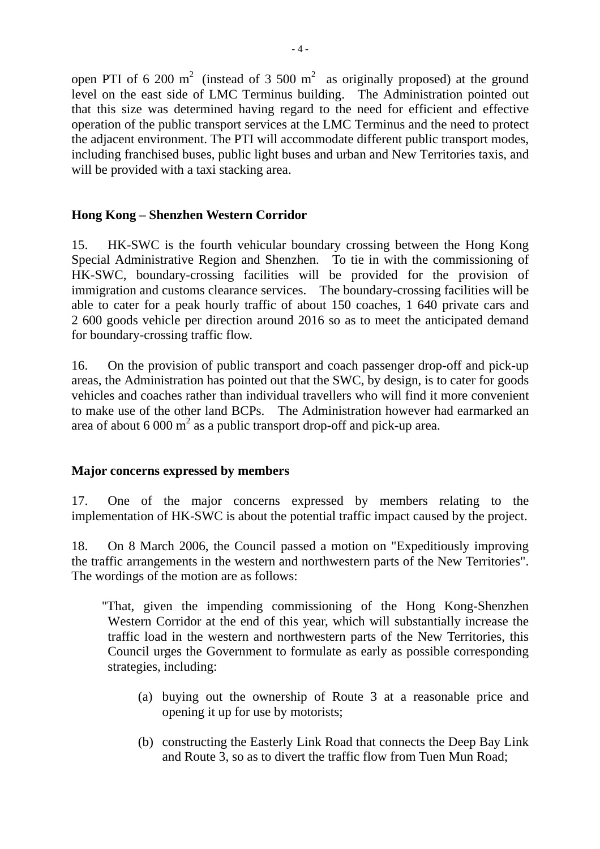open PTI of 6 200 m<sup>2</sup> (instead of 3 500 m<sup>2</sup> as originally proposed) at the ground level on the east side of LMC Terminus building. The Administration pointed out that this size was determined having regard to the need for efficient and effective operation of the public transport services at the LMC Terminus and the need to protect the adjacent environment. The PTI will accommodate different public transport modes, including franchised buses, public light buses and urban and New Territories taxis, and will be provided with a taxi stacking area.

# **Hong Kong – Shenzhen Western Corridor**

15. HK-SWC is the fourth vehicular boundary crossing between the Hong Kong Special Administrative Region and Shenzhen. To tie in with the commissioning of HK-SWC, boundary-crossing facilities will be provided for the provision of immigration and customs clearance services. The boundary-crossing facilities will be able to cater for a peak hourly traffic of about 150 coaches, 1 640 private cars and 2 600 goods vehicle per direction around 2016 so as to meet the anticipated demand for boundary-crossing traffic flow.

16. On the provision of public transport and coach passenger drop-off and pick-up areas, the Administration has pointed out that the SWC, by design, is to cater for goods vehicles and coaches rather than individual travellers who will find it more convenient to make use of the other land BCPs. The Administration however had earmarked an area of about 6 000  $m^2$  as a public transport drop-off and pick-up area.

# **Major concerns expressed by members**

17. One of the major concerns expressed by members relating to the implementation of HK-SWC is about the potential traffic impact caused by the project.

18. On 8 March 2006, the Council passed a motion on "Expeditiously improving the traffic arrangements in the western and northwestern parts of the New Territories". The wordings of the motion are as follows:

- "That, given the impending commissioning of the Hong Kong-Shenzhen Western Corridor at the end of this year, which will substantially increase the traffic load in the western and northwestern parts of the New Territories, this Council urges the Government to formulate as early as possible corresponding strategies, including:
	- (a) buying out the ownership of Route 3 at a reasonable price and opening it up for use by motorists;
	- (b) constructing the Easterly Link Road that connects the Deep Bay Link and Route 3, so as to divert the traffic flow from Tuen Mun Road;